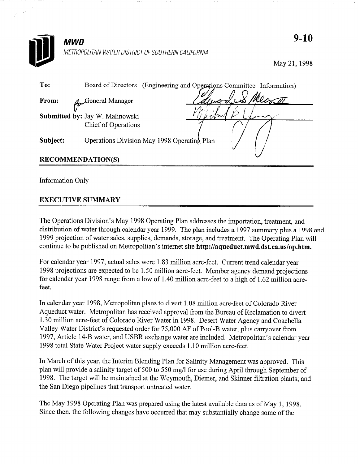

May 21,1998

| To:                      | (Engineering and Operations Committee--Information)<br>Board of Directors |  |
|--------------------------|---------------------------------------------------------------------------|--|
| From:                    | General Manager                                                           |  |
|                          | Submitted by: Jay W. Malinowski                                           |  |
|                          | Chief of Operations                                                       |  |
| Subject:                 | Operations Division May 1998 Operating Plan                               |  |
| <b>RECOMMENDATION(S)</b> |                                                                           |  |

Information Only

## EXECUTIVE SUMMARY

The Operations Division's May 1998 Operating Plan addresses the importation, treatment, and distribution of water through calendar year 1999. The plan includes a 1997 summary plus a 1998 and 1999 projection of water sales, supplies, demands, storage, and treatment. The Operating Plan will continue to be published on Metropolitan's internet site http://aqueduct.mwd.dst.ca.us/op.htm.

For calendar year 1997, actual sales were 1.83 million acre-feet. Current trend calendar year 1998 projections are expected to be 1.50 million acre-feet. Member agency demand projections for calendar year 1998 range from a low of 1.40 million acre-feet to a high of 1.62 million acrefeet.

In calendar year 1998, Metropolitan plans to divert 1.08 million acre-feet of Colorado River Aqueduct water. Metropolitan has received approval from the Bureau of Reclamation to divert 1.30 million acre-feet of Colorado River Water in 1998. Desert Water Agency and Coachella Valley Water District's requested order for 75,000 AF of Pool-B water, plus carryover from 1997, Article 14-B water, and USBR exchange water are included. Metropolitan's calendar year 1998 total State Water Project water supply exceeds 1.10 million acre-feet.

In March of this year, the Interim Blending Plan for Salinity Management was approved. This plan will provide a salinity target of 500 to 550 mg/l for use during April through September of 1998. The target will be maintained at the Weymouth, Diemer, and Skinner filtration plants; and the San Diego pipelines that transport untreated water.

The May 1998 Operating Plan was prepared using the latest available data as of May 1, 1998. Since then, the following changes have occurred that may substantially change some of the

9-10